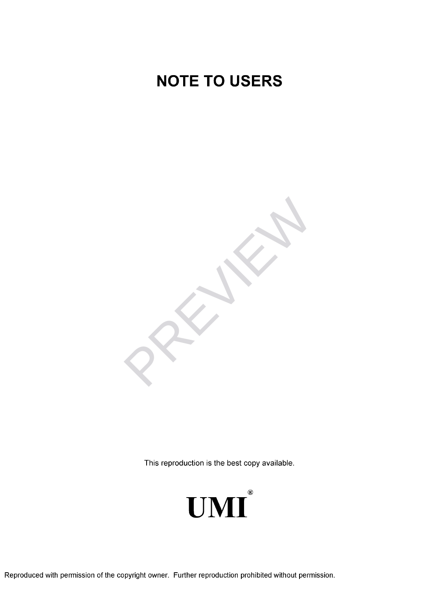# **NOTE TO USERS**



This reproduction is the best copy available.

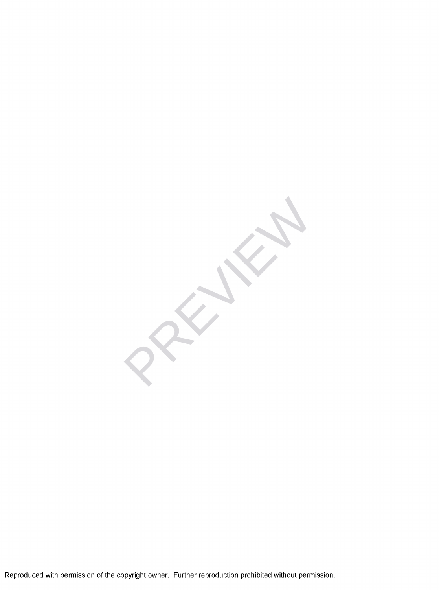PREVIEWS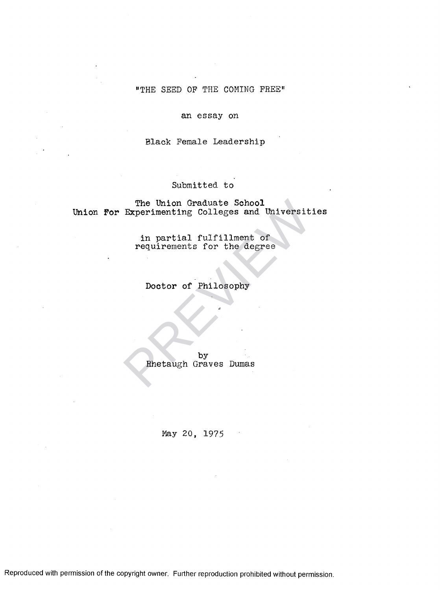#### **"THE SEED OF THE COMING FREE"**

#### **an essay on**

**Black Female Leadership**

#### **Submitted to**

# **The Union Graduate School Union For Experimenting Colleges and Universities** The Union Graduate School<br>Experimenting Colleges and Universit.<br>in partial fulfillment of<br>requirements for the degree<br>Doctor of Philosophy<br>Phetaugh Graves Dumas

## **in partial fulfillment of requirements for the degree**

**Doctor of Philosophy**

**by Rhetaugh Graves Dumas**

**May 20, 1975**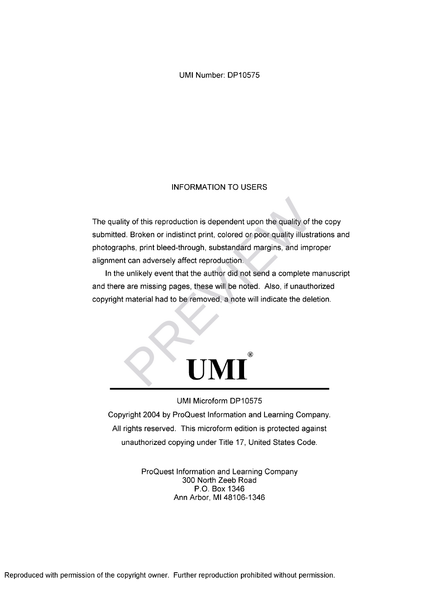#### UMI Number: DP10575

## INFORMATION TO USERS

The quality of this reproduction is dependent upon the quality of the copy submitted. Broken or indistinct print, colored or poor quality illustrations and photographs, print bleed-through, substandard margins, and improper alignment can adversely affect reproduction. ity of this reproduction is dependent upon the quality of the A. Broken or indistinct print, colored or poor quality illustrepths, print bleed-through, substandard margins, and impert can adversely affect reproduction.<br>
Pu

In the unlikely event that the author did not send a complete manuscript and there are missing pages, these will be noted. Also, if unauthorized copyright material had to be removed, a note will indicate the deletion.



#### UMI Microform DP10575

Copyright 2004 by ProQuest Information and Learning Company. All rights reserved. This microform edition is protected against unauthorized copying under Title 17, United States Code.

> ProQuest Information and Learning Company 300 North Zeeb Road P.O. Box 1346 Ann Arbor, Ml 48106-1346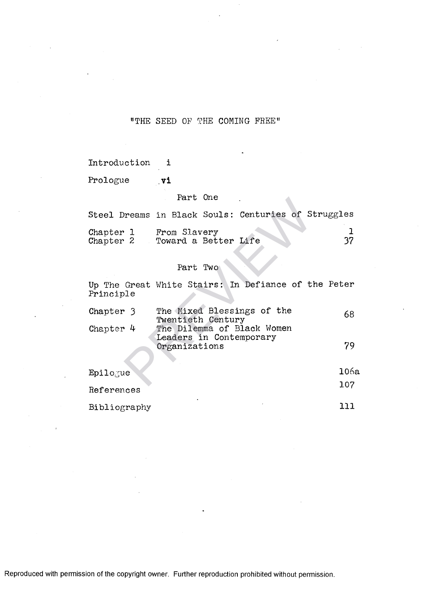#### **"THE SEED OP THE COMING FREE"**

| Introduction           |                                                     |  |
|------------------------|-----------------------------------------------------|--|
| Prologue               | vi.                                                 |  |
|                        | Part One                                            |  |
|                        | Steel Dreams in Black Souls: Centuries of Struggles |  |
| Chapter 1<br>Chapter 2 | From Slavery<br>Toward a Better Life                |  |

# **Part Two**

|                        | rart une                                                               |                    |
|------------------------|------------------------------------------------------------------------|--------------------|
|                        | Steel Dreams in Black Souls: Centuries of Struggles                    |                    |
| Chapter 1 From Slavery | Chapter 2 Toward a Better Life                                         | $\mathbf{1}$<br>37 |
|                        | Part Two                                                               |                    |
| Principle              | Up The Great White Stairs: In Defiance of the Peter                    |                    |
| Chapter 3              | The Mixed Blessings of the<br>Twentieth Century                        | 68                 |
| Chapter 4              | The Dilemma of Black Women<br>Leaders in Contemporary<br>Organizations | 79                 |
| Epilogue               |                                                                        | 106a               |
| References             |                                                                        | 107                |
| Bibliography           |                                                                        | 111                |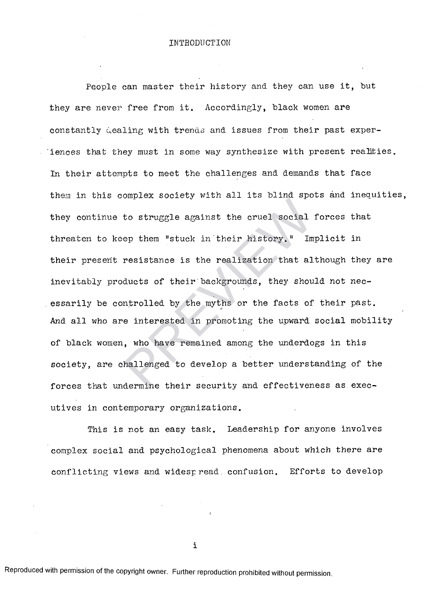#### **INTRODUCTION**

**People can master their history and they can use it, but they are never free from it. Accordingly, black women are constantly dealing with trends and issues from their past experiences that they must in some way synthesize with present realities. In their attempts to meet the challenges and demands that face them in this complex society with all its blind spots and inequities, they continue to struggle against the cruel social forces that threaten to keep them "stuck in'their history." Implicit in their present resistance is the realization that although they are inevitably products of their'backgrounds, they should not necessarily be controlled by the myths or the facts of their past. And all who are interested in promoting the upward social mobility of black women, who have remained among the underdogs in this society, are challenged to develop a better understanding of the forces that undermine their security and effectiveness as executives in contemporary organizations.** to struggle against the cruel social<br>ep them "stuck in their history." Im<br>resistance is the realization that al<br>ducts of their backgrounds, they shou<br>ntrolled by the myths or the facts of<br>e interested in promoting the upwa

**This is not an easy task. Leadership for anyone involves complex social and psychological phenomena about which there are conflicting views and widespread, confusion. Efforts to develop**

i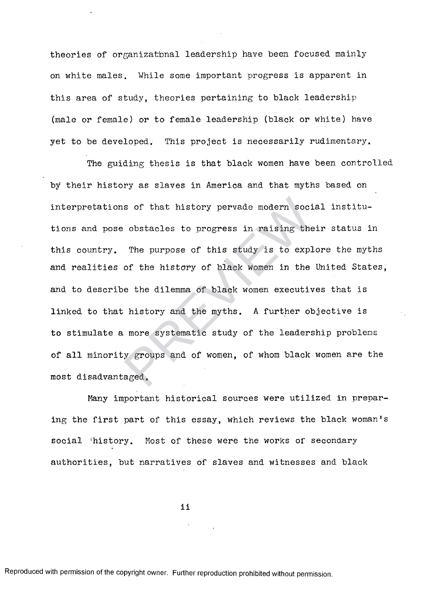**theories of organizational leadership have been focused mainly on white males. While some important progress is apparent in this area of study, theories pertaining to black leadership (male or female) or to female leadership (black or white) have yet to be developed. This project is necessarily rudimentary.**

**The guiding thesis is that black women have been controlled by their history as slaves in America and that myths based on interpretations of that history pervade modern social institutions and pose obstacles to progress in raising their status in this country. The purpose of this study is to explore the myths and realities of the history of black women in the United States, and to describe the dilemma of black women executives that is linked to that history and the myths. A further objective is to stimulate a more systematic study of the leadership problems of all minority groups and of women, of whom black women are the most disadvantaged.** s of that history pervade modern soci<br>obstacles to progress in raising the<br>The purpose of this study is to expl<br>of the history of black women in the<br>e the dilemma of black women executiv<br>history and the myths. A further ob

**Many important historical sources were utilized in preparing the first part of this essay, which reviews the black woman's social 'history. Most of these were the works of secondary authorities, but narratives of slaves and witnesses and black**

**ii**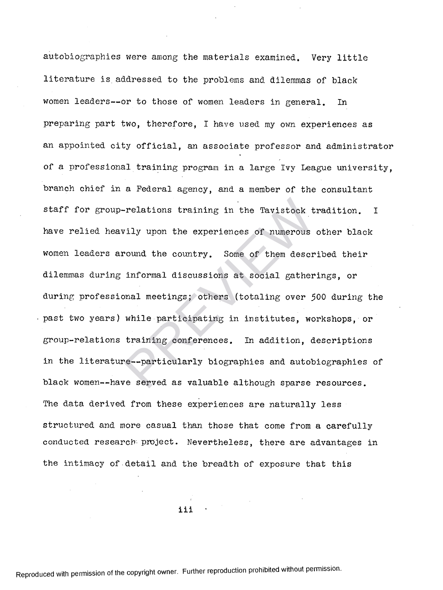**autobiographies were among the materials examined. Very little literature is. addressed to the problems and dilemmas of black women leaders— or to those of women leaders in general. In preparing part two, therefore, I have used my own experiences as an appointed city official, an associate professor and administrator of a professional training program in a large Ivy League university, branch chief in a Federal agency, and a member of the consultant staff for group-relations training in the Tavistock tradition. I have relied heavily upon the experiences of numerous other black women leaders around the country. Some of them described their dilemmas during informal discussions at social gatherings, or during professional meetings; others (totaling over 500 during the past two years) while participating in institutes, workshops, or group-relations training conferences. In addition, descriptions in the literature— particularly biographies and autobiographies of black women— have served as valuable although sparse resources. The data derived from these experiences are naturally less structured and more casual than those that come from a carefully conducted research' project. Nevertheless, there are advantages in the intimacy of detail and the breadth of exposure that this** relations training in the Tavistock the relations training in the Tavistock rily upon the experiences of numerous<br>round the country. Some of them description informal discussions at social gather<br>positional meetings; other

**iii**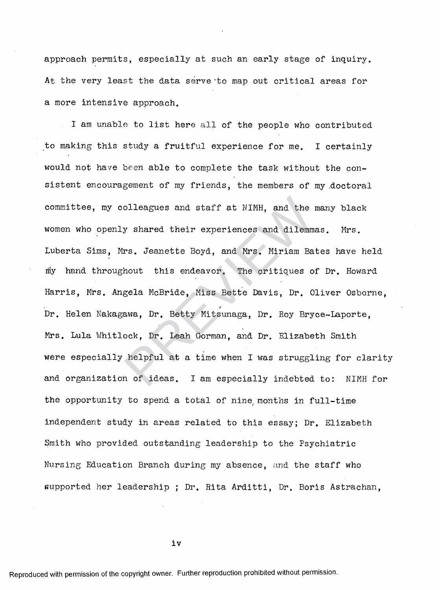**approach permits, especially at such an early stage of inquiry. At the very least the data serve 'to map out critical areas for a more intensive approach.**

**I am unable to list here all of the people who contributed to making this study a fruitful experience for me. I certainly would not have been able to complete the task without the consistent encouragement of my friends, the members of my .doctoral committee, my colleagues and staff at NIMH, and the many black women who openly shared their experiences and dilemmas. Mrs. Luberta Sims, Mrs. Jeanette Boyd, and Mrs. Miriam Bates have held irfy hand throughout this endeavor. The critiques of Dr. Howard Harris, Mrs. Angela McBride, Miss Bette Davis, Dr. Oliver Osborne, Dr. Helen Nakagawa, Dr. Betty Mitsunaga, Dr. Roy Bryce-Laporte, Mrs. Lula Whitlock, Dr. Leah Gorman, and Dr. Elizabeth Smith were especially helpful at a time when I was struggling for clarity and organization of ideas. I am especially indebted to: NIMH for the opportunity to spend a total of nine, months in full-time independent study in areas related to this essay; Dr. Elizabeth Smith who provided outstanding leadership to the Psychiatric Nursing Education Branch during my absence, and the staff who supported her leadership ; Dr. Rita Arditti, Dr. Boris Astrachan,** olleagues and staff at NIMH, and the<br>y shared their experiences and dilemm<br>rs. Jeanette Boyd, and Mrs. Miriam Ba<br>hout this endeavor. The critiques o<br>gela McBride, Miss Bette Davis, Dr. O<br>awa, Dr. Betty Mitsunaga, Dr. Roy B

**iv**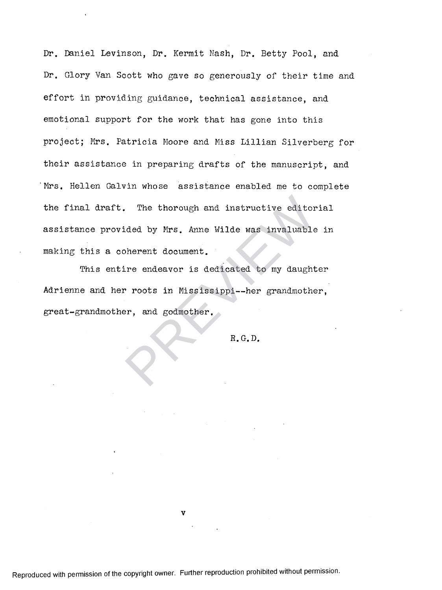**Dr. Daniel Levinson, Dr. Kermit Nash, Dr. Betty Pool, and Dr. Glory Van Scott who gave so generously of their time and effort in providing guidance, technical assistance, and emotional support for the work that has gone into this project; Mrs. Patricia Moore and Miss Lillian Silverberg for their assistance in preparing drafts of the manuscript, and Mrs. Hellen Galvin whose assistance enabled me to complete the final draft. The thorough and instructive editorial assistance provided by Mrs. Anne Wilde was invaluable in making this a coherent document.** The thorough and instructive editor<br>
Expediant deal by Mrs. Anne Wilde was invaluable<br>
oherent document.<br>
The endeavor is dedicated to my daught<br>
Proots in Mississippi--her grandmothe<br>
Proots in Mississippi--her grandmothe

**This entire endeavor is dedicated to my daughter Adrienne and her roots in Mississippi— her grandmother, great-grandmother, and godmother,**

**R.G.D.**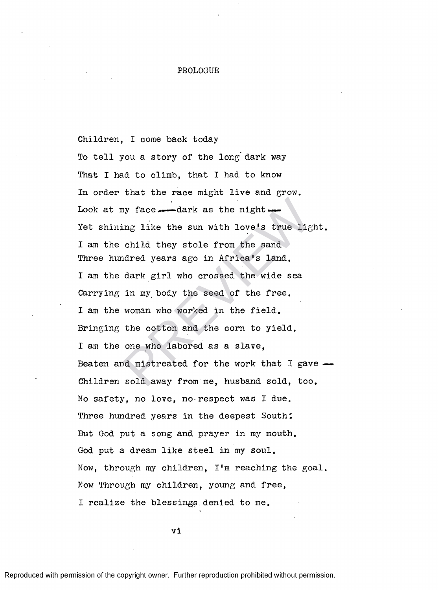#### **PROLOGUE**

**Children, I come back today To tell you a story of the long dark way That I had to climb, that I had to know In order that the race might live and grow.** Look at my face <u>-- dark</u> as the night -**Yet shining like the sun with love's true light. I am the child they stole from the sand Three hundred years ago in Africa's land. I am the dark girl who crossed the wide sea** Carrying in my body the seed of the free. **I am the woman who worked in the field. Bringing the cotton and the corn to yield. I am the one who labored as a slave,** Beaten and mistreated for the work that I gave  $-$ **Children sold away from me, husband sold, too. No safety, no love, no-respect was I due. Three hundred years in the deepest South: But God put a song and prayer in my mouth. God put a dream like steel in my soul. Now, through my children, I'm reaching the goal. Now Through my children, young and free, I realize the blessings denied to me.** ny face -- dark as the night --<br>Ing like the sun with love's true lig<br>child they stole from the sand<br>dark girl who crossed the wide sea<br>in my body the seed of the free.<br>woman who worked in the field.<br>the cotton and the cor

**vi**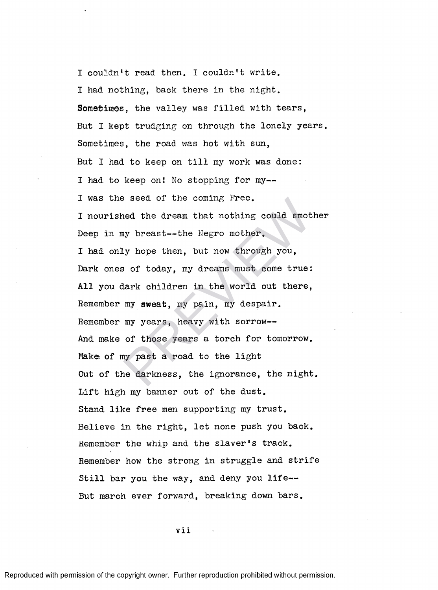**I couldn't read then. I couldn't write. I had nothing, back there in the night. Sometimes, the valley was filled with tears, But I kept trudging on through the lonely years. Sometimes, the road was hot with sun, But I had to keep on till my work was done: I had to keep on! No stopping for my— I was the seed of the coming Free. I nourished the dream that nothing could smother Deep in my breast— the Negro mother. I had only hope then, but now through you, Dark ones of today, my dreams must come true: All you dark children in the world out there, Remember my sweat, my pain, my despair. Remember my years, heavy with sorrow— And make of those years a torch for tomorrow. Make of my past a road to the light Out of the darkness, the ignorance, the night. Lift high my banner out of the dust. Stand like free men supporting my trust. Believe in the right, let none push you back. Remember the whip and the slaver's track. Remember how the strong in struggle and strife Still bar you the way, and deny you life— But march ever forward, breaking down bars.** Seed of the coming Free.<br>
Hed the dream that nothing could smot<br>
ny breast--the Negro mother.<br>
Y hope then, but now through you,<br>
So f today, my dreams must come true:<br>
Here the world out there,<br>
my sweat, my pain, my desp

**vii**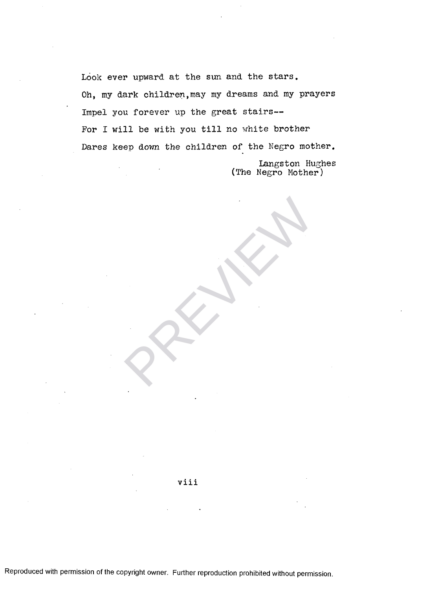**Look ever upward at the sun and the stars. Oh, my dark children,may my dreams and my prayers Impel you forever up the great stairs— For I will be with you till no white brother Dares keep down the children of the Negro mother.**

PREVIEWS

**Langston Hughes (The Negro Mother)**

#### viii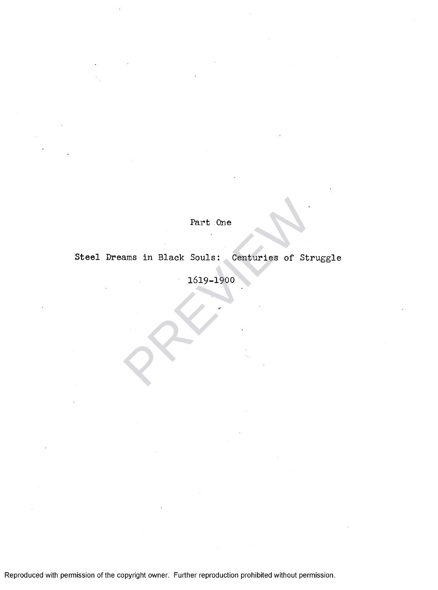**Part One**

**Steel Dreams in Black** Centuries of Struggle Part One<br>ams in Black Souls: Centuries of Str<br>1619-1900

**1619-1900**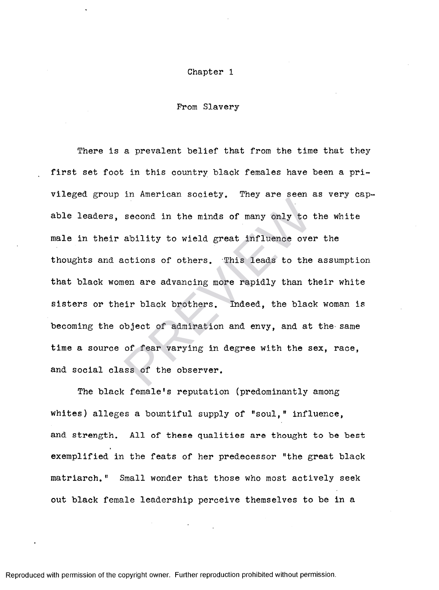#### **Chapter 1**

#### **Prom Slavery**

**There is a prevalent belief that from the time that they first set foot in this country black females have been a privileged group in American society. They are seen as very capable leaders, second in the minds of many only to the white male in their ability to wield great influence over the thoughts and actions of others. This leads to the assumption that black women are advancing more rapidly than their white sisters or their black brothers. Indeed, the black woman is becoming the object of admiration and envy, and at the same time a source of fear varying in degree with the sex, race, and social class of the observer.** second in the minds of many only to<br>ability to wield great influence ove<br>ctions of others. This leads to the<br>nen are advancing more rapidly than t<br>ir black brothers. Indeed, the black<br>biect of admiration and envy, and at<br>o

**The black female's reputation (predominantly among whites) alleges a bountiful supply of "soul," influence, and strength. All of these qualities are thought to be best exemplified in the feats of her predecessor "the great black matriarch." Small wonder that those who most actively seek out black female leadership perceive themselves to be in a**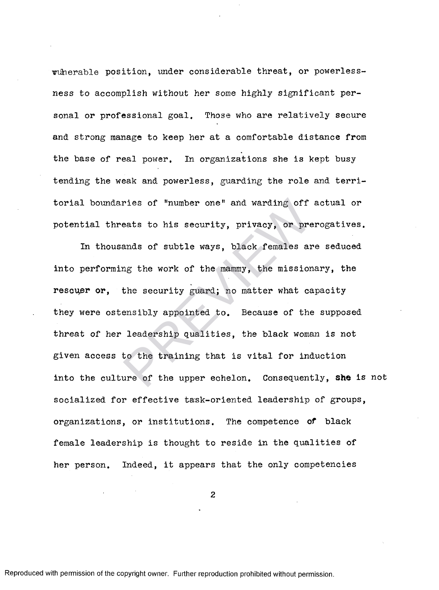wuherable position, under considerable threat, or powerless**ness to accomplish without her some highly significant personal or professional goal. Those who are relatively secure and strong manage to keep her at a comfortable distance from the base of real power. In organizations she is kept busy tending the weak and powerless, guarding the role and territorial boundaries of "number one" and warding off actual or potential threats to his security, privacy, or prerogatives.**

**In thousands of subtle ways, black females are seduced into performing the work of the mammy, the missionary, the rescuer or, the security guard; no matter what capacity they were ostensibly appointed to. Because of the supposed threat of her leadership qualities, the black woman is not given access to the training that is vital for induction into the culture of the upper echelon. Consequently, she is not socialized for effective task-oriented leadership of groups, organizations, or institutions. The competence of black female leadership is thought to reside in the qualities of her person. Indeed, it appears that the only competencies** ries of "number one" and warding off<br>eats to his security, privacy, or pre<br>ands of subtle ways, black females ar<br>ng the work of the mammy, the mission<br>the security guard; no matter what ce<br>ensibly appointed to. Because of

**2**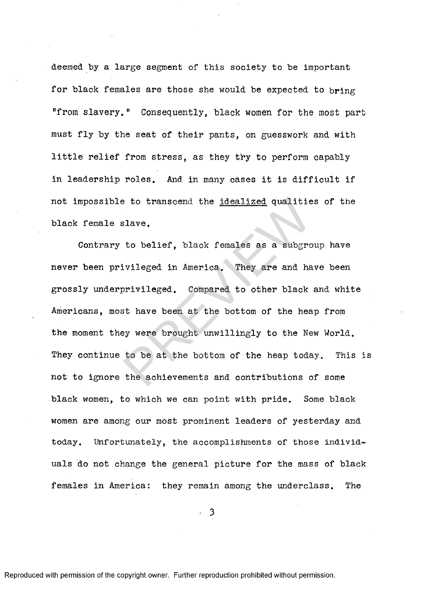**deemed by a large segment of this society to be important for black females are those she would be expected to bring "from slavery." Consequently, black women for the most part must fly by the seat of their pants, on guesswork and with little relief from stress, as they try to perform capably in leadership roles. And in many cases it is difficult if not impossible to transcend the idealized qualities of the black female slave.**

**Contrary to belief, black females as a subgroup have never been privileged in America. They are and have been grossly underprivileged. Compared to other black and white Americans, most have been at the bottom of the heap from the moment they were brought unwillingly to the New World. They continue to be at the bottom of the heap today. This is not to ignore the achievements and contributions of some black women, to which we can point with pride. Some black women are among our most prominent leaders of yesterday and today. Unfortunately, the accomplishments of those individuals do not change the general picture for the mass of black females in America: they remain among the underclass. The** e to transcend the <u>idealized</u> qualities<br>
is to belief, black females as a subgrouvileged in America. They are and has<br>
privileged. Compared to other black<br>
st have been at the bottom of the heap<br>
y were brought unwillingl

**• 3**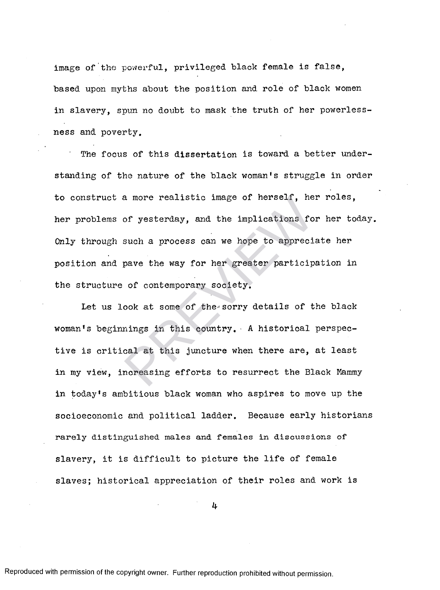**image of the powerful, privileged black female is false, based upon myths about the position and role of black women in slavery, spun no doubt to mask the truth of her powerlessness and poverty.**

**The focus of this dissertation is toward a better understanding of the nature of the black woman's struggle in order to construct a more realistic image of herself, her roles, her problems of yesterday, and the implications for her today. Only through such a process can we hope to appreciate her position and pave the way for her greater participation in the structure of contemporary society.** a more realistic image of herself, he<br>of yesterday, and the implications fo<br>such a process can we hope to appreci<br>pave the way for her greater particip<br>of contemporary society.<br>ook at some of the sorry details of t<br>nings i

**Let us look at some of the•sorry details of the black woman's beginnings in this country, • A historical perspective is critical at this juncture when there are, at least in my view, increasing efforts to resurrect the Black Mammy in today's ambitious black woman who aspires to move up the socioeconomic and political ladder. Because early historians rarely distinguished males and females in discussions of slavery, it is difficult to picture the life of female slaves; historical appreciation of their roles and work is**

4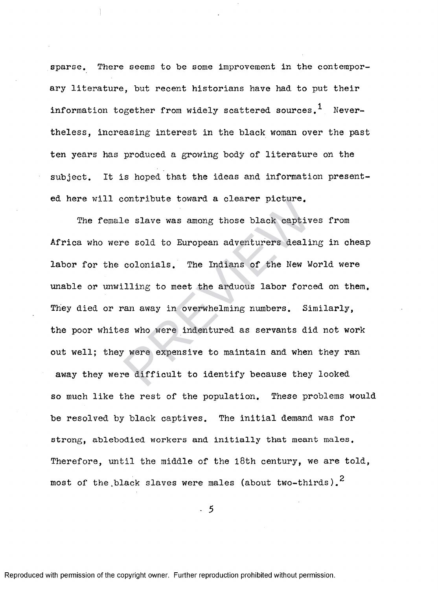**sparse. There seems to be some improvement in the contemporary literature, but recent historians have had to put their** information together from widely scattered sources.<sup>1</sup> Never**theless, increasing interest in the black woman over the past ten years has produced a growing body of literature on the subject. It is hoped that the ideas and information presented here will contribute toward a clearer picture.**

**The female slave was among those black captives from Africa who were sold to European adventurers dealing in cheap labor for the colonials. The Indians of the New World were unable or unwilling to meet the arduous labor forced on them. They died or ran away in overwhelming numbers. Similarly, the poor whites who were indentured as servants did not work out well; they were expensive to maintain and when they ran away they were difficult to identify because they looked so much like the rest of the population. These problems would be resolved by black captives. The initial demand was for strong, ablebodied workers and initially that meant males. Therefore, until the middle of the 18th century, we are told, ? most of the .black slaves were males (about two-thirds).** contribute toward a clearer picture.<br>
e slave was among those black captive.<br>
e sold to European adventurers deali<br>
colonials. The Indians of the New W<br>
lling to meet the arduous labor forc<br>
ean away in overwhelming number

- 5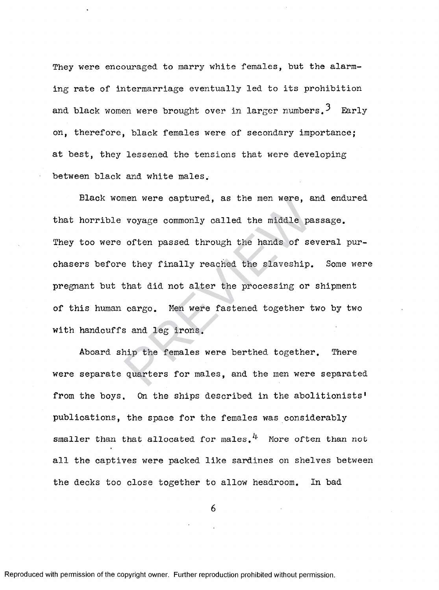**They were encouraged to marry white females, but the alarming rate of intermarriage eventually led to its prohibition** and black women were brought over in larger numbers.<sup>3</sup> Early **on, therefore, black females were of secondary importance; at best, they lessened the tensions that were developing between black and white males.**

**Black women were captured, as the men were, and endured that horrible voyage commonly called the middle passage. They too were often passed through the hands of several purchasers before they finally reached the slaveship. Some were pregnant but that did not alter the processing or shipment of this human cargo. Men were fastened together two by two with handcuffs and leg irons.** men were captured, as the men were, a<br>voyage commonly called the middle pa<br>often passed through the hands of se<br>e they finally reached the slaveship.<br>that did not alter the processing or<br>cargo. Men were fastened together t

**Aboard ship the females were berthed together. There were separate quarters for males, and the men were separated from the boys. On the ships described in the abolitionists' publications, the space for the females was considerably** smaller than that allocated for males. $\frac{4}{1}$  More often than not **all the captives were packed like sardines on shelves between the decks too close together to allow headroom. In bad**

**6**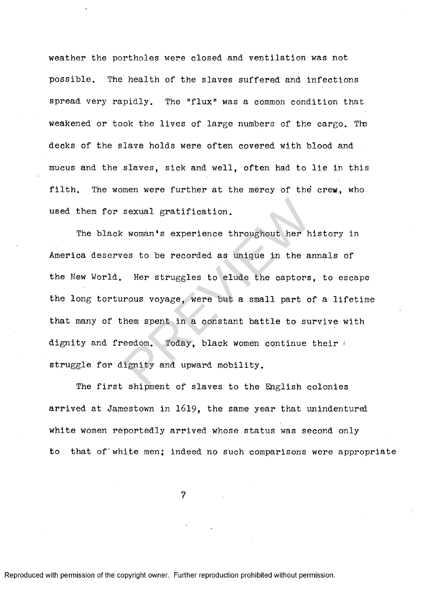**weather the portholes were closed and ventilation was not possible. The health of the slaves suffered and infections spread very rapidly. The "flux" was a common condition that weakened or took the lives of large numbers of the cargo. The decks of the slave holds were often covered with blood and mucus and the slaves, sick and well, often had to lie in this filth. The women were further at the mercy of the crew, who used them for sexual gratification.**

**The black woman's experience throughout her history in America deserves to be recorded as unique in the annals of the New World. Her struggles to elude the captors, to escape the long torturous voyage, were but a small part of a lifetime that many of them spent in a constant battle to survive with dignity and freedom. Today, black women continue their** *<* **struggle for dignity and upward mobility.** sexual gratification.<br>Woman's experience throughout her h<br>es to be recorded as unique in the a<br>Her struggles to elude the captors<br>rous voyage, were but a small part o<br>hem spent in a constant battle to su<br>eedom. Today, blac

**The first shipment of slaves to the English colonies arrived at Jamestown in 1619, the same year that unindenturad white women reportedly arrived whose status was second only** to that of white men; indeed no such comparisons were appropriate

**7**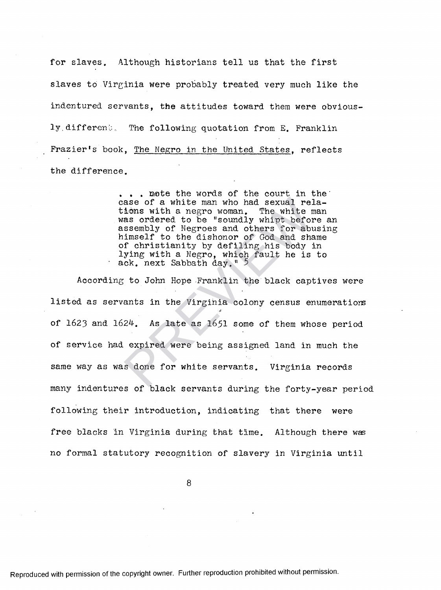**for slaves. Although historians tell us that the first slaves to Virginia were probably treated very much like the indentured servants, the attitudes toward them were obviously . different., The following quotation from E. Franklin Frazier's book, The Negro in the United States, reflects the difference.**

> . . . note the words of the court in the **case of a white man who had sexual relations with a negro woman. The white man was ordered to be "soundly whipt before an assembly of Negroes and others for abusing himself to the dishonor of God and shame of Christianity by defiling his body in lying with a Negro, which fault he is to • ack. next Sabbath day." 5**

**According to John Hope Franklin the black captives were listed as servants in the Virginia colony census enumerations of 1623 and 1624. As late as 1651 some of them whose period of service had expired were being assigned land in much the same way as was done for white servants. Virginia records many indentures of black servants during the forty-year period following their introduction, indicating that there were free blacks in Virginia during that time. Although there was no formal statutory recognition of slavery in Virginia until** ase of a white man who had sexual rel<br>ions with a negro woman. The white m<br>as ordered to be "soundly whipt befor<br>ssembly of Negroes and others for abused f christianity by defiling his body is<br>f christianity by defiling hi

**8**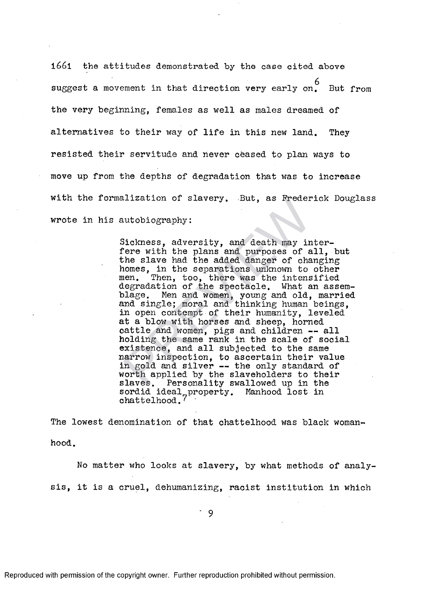**l66l the attitudes demonstrated by the case cited above** 6 **suggest a movement in that direction very early on. But from the very beginning, females as well as males dreamed of alternatives to their way of life in this new land. They resisted their servitude and never ceased to plan ways to move up from the depths of degradation that was to increase with the formalization of slavery. -But, as Frederick Douglass wrote in his autobiography:**

**Sickness, adversity, and death may interfere with the plans and purposes of all, but the slave had the added danger of changing homes, in the separations unknown to other men. Then, too, there was the intensified degradation of the spectacle. What an assemblage. Men and women, young and old, married and single; moral and thinking human beings, in open contempt of their humanity, leveled at a blow with horses and sheep, horned cattle and women, pigs and children — all holding the same rank in the scale of social existence, and all subjected to the same narrow inspection, to ascertain their value in gold and silver — the only standard of worth applied by the slaveholders to their slaves. Personality swallowed up in the sordid ideal property. Manhood lost in chattelhood***. '* **'** ilization of slavery. But, as Freder<br>
uutobiography:<br>
Sickness, adversity, and death may in<br>
Tere with the plans and purposes of a<br>
he slave had the added danger of cha<br>
nomes, in the separations unknown to<br>
een. Then, too

**The lowest denomination of that chattelhood was black womanhood.**

**No matter who looks at slavery, by what methods of analysis, it is a cruel, dehumanizing, racist institution in which**

**' 9**